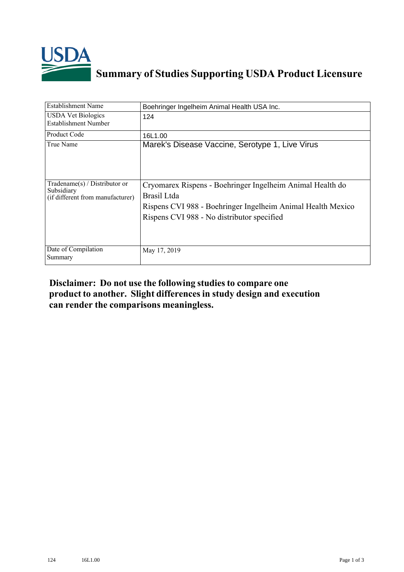

## **Summary of Studies Supporting USDA Product Licensure**

| <b>Establishment Name</b>                                                         | Boehringer Ingelheim Animal Health USA Inc.                                                                                                                                           |
|-----------------------------------------------------------------------------------|---------------------------------------------------------------------------------------------------------------------------------------------------------------------------------------|
| <b>USDA Vet Biologics</b><br>Establishment Number                                 | 124                                                                                                                                                                                   |
| Product Code                                                                      | 16L1.00                                                                                                                                                                               |
| True Name                                                                         | Marek's Disease Vaccine, Serotype 1, Live Virus                                                                                                                                       |
| $Tradename(s) / Distributor$ or<br>Subsidiary<br>(if different from manufacturer) | Cryomarex Rispens - Boehringer Ingelheim Animal Health do<br>Brasil Ltda<br>Rispens CVI 988 - Boehringer Ingelheim Animal Health Mexico<br>Rispens CVI 988 - No distributor specified |
| Date of Compilation<br>Summary                                                    | May 17, 2019                                                                                                                                                                          |

## **Disclaimer: Do not use the following studiesto compare one product to another. Slight differencesin study design and execution can render the comparisons meaningless.**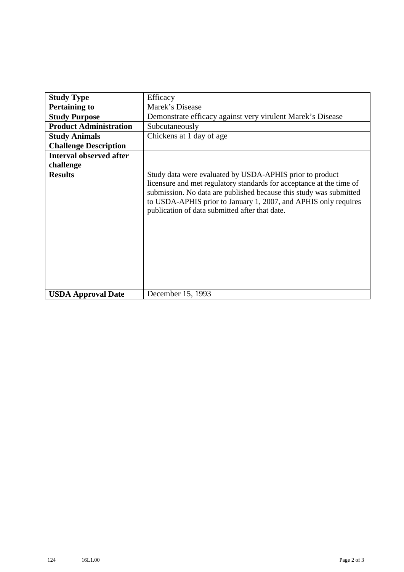| <b>Study Type</b>              | Efficacy                                                                                                                                                                                                                                                                                                                    |
|--------------------------------|-----------------------------------------------------------------------------------------------------------------------------------------------------------------------------------------------------------------------------------------------------------------------------------------------------------------------------|
| <b>Pertaining to</b>           | Marek's Disease                                                                                                                                                                                                                                                                                                             |
| <b>Study Purpose</b>           | Demonstrate efficacy against very virulent Marek's Disease                                                                                                                                                                                                                                                                  |
| <b>Product Administration</b>  | Subcutaneously                                                                                                                                                                                                                                                                                                              |
| <b>Study Animals</b>           | Chickens at 1 day of age                                                                                                                                                                                                                                                                                                    |
| <b>Challenge Description</b>   |                                                                                                                                                                                                                                                                                                                             |
| <b>Interval observed after</b> |                                                                                                                                                                                                                                                                                                                             |
| challenge                      |                                                                                                                                                                                                                                                                                                                             |
| <b>Results</b>                 | Study data were evaluated by USDA-APHIS prior to product<br>licensure and met regulatory standards for acceptance at the time of<br>submission. No data are published because this study was submitted<br>to USDA-APHIS prior to January 1, 2007, and APHIS only requires<br>publication of data submitted after that date. |
| <b>USDA Approval Date</b>      | December 15, 1993                                                                                                                                                                                                                                                                                                           |